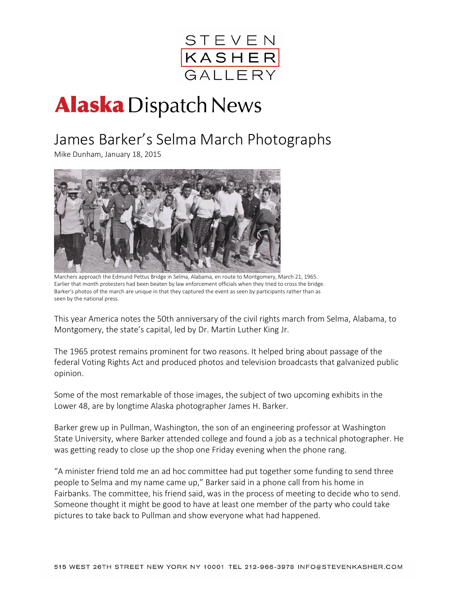

# **Alaska** Dispatch News

# James Barker's Selma March Photographs

Mike Dunham, January 18, 2015



 Marchers approach the Edmund Pettus Bridge in Selma, Alabama, en route to Montgomery, March 21, 1965. Earlier that month protesters had been beaten by law enforcement officials when they tried to cross the bridge. Barker's photos of the march are unique in that they captured the event as seen by participants rather than as seen by the national press.

This year America notes the 50th anniversary of the civil rights march from Selma, Alabama, to Montgomery, the state's capital, led by Dr. Martin Luther King Jr.

The 1965 protest remains prominent for two reasons. It helped bring about passage of the federal Voting Rights Act and produced photos and television broadcasts that galvanized public opinion.

Some of the most remarkable of those images, the subject of two upcoming exhibits in the Lower 48, are by longtime Alaska photographer James H. Barker.

Barker grew up in Pullman, Washington, the son of an engineering professor at Washington State University, where Barker attended college and found a job as a technical photographer. He was getting ready to close up the shop one Friday evening when the phone rang.

"A minister friend told me an ad hoc committee had put together some funding to send three people to Selma and my name came up," Barker said in a phone call from his home in Fairbanks. The committee, his friend said, was in the process of meeting to decide who to send. Someone thought it might be good to have at least one member of the party who could take pictures to take back to Pullman and show everyone what had happened.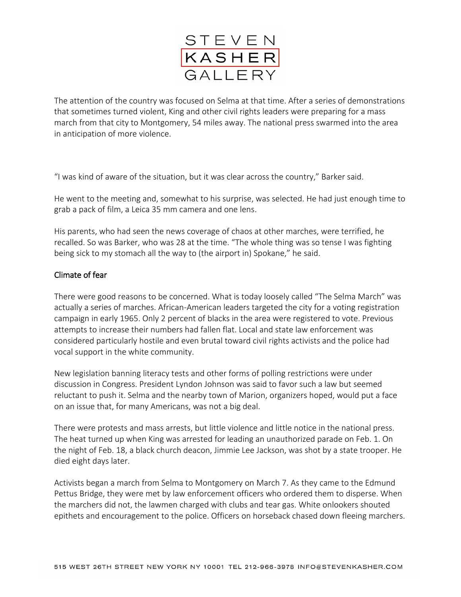

The attention of the country was focused on Selma at that time. After a series of demonstrations that sometimes turned violent, King and other civil rights leaders were preparing for a mass march from that city to Montgomery, 54 miles away. The national press swarmed into the area in anticipation of more violence.

"I was kind of aware of the situation, but it was clear across the country," Barker said.

He went to the meeting and, somewhat to his surprise, was selected. He had just enough time to grab a pack of film, a Leica 35 mm camera and one lens.

His parents, who had seen the news coverage of chaos at other marches, were terrified, he recalled. So was Barker, who was 28 at the time. "The whole thing was so tense I was fighting being sick to my stomach all the way to (the airport in) Spokane," he said.

#### Climate of fear

There were good reasons to be concerned. What is today loosely called "The Selma March" was actually a series of marches. African-American leaders targeted the city for a voting registration campaign in early 1965. Only 2 percent of blacks in the area were registered to vote. Previous attempts to increase their numbers had fallen flat. Local and state law enforcement was considered particularly hostile and even brutal toward civil rights activists and the police had vocal support in the white community.

New legislation banning literacy tests and other forms of polling restrictions were under discussion in Congress. President Lyndon Johnson was said to favor such a law but seemed reluctant to push it. Selma and the nearby town of Marion, organizers hoped, would put a face on an issue that, for many Americans, was not a big deal.

There were protests and mass arrests, but little violence and little notice in the national press. The heat turned up when King was arrested for leading an unauthorized parade on Feb. 1. On the night of Feb. 18, a black church deacon, Jimmie Lee Jackson, was shot by a state trooper. He died eight days later.

Activists began a march from Selma to Montgomery on March 7. As they came to the Edmund Pettus Bridge, they were met by law enforcement officers who ordered them to disperse. When the marchers did not, the lawmen charged with clubs and tear gas. White onlookers shouted epithets and encouragement to the police. Officers on horseback chased down fleeing marchers.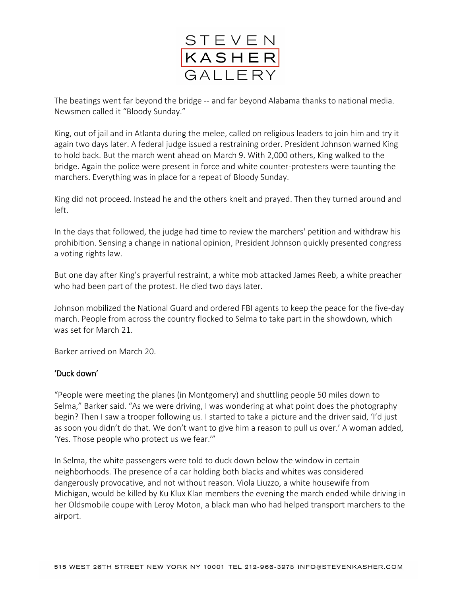

The beatings went far beyond the bridge -- and far beyond Alabama thanks to national media. Newsmen called it "Bloody Sunday."

King, out of jail and in Atlanta during the melee, called on religious leaders to join him and try it again two days later. A federal judge issued a restraining order. President Johnson warned King to hold back. But the march went ahead on March 9. With 2,000 others, King walked to the bridge. Again the police were present in force and white counter-protesters were taunting the marchers. Everything was in place for a repeat of Bloody Sunday.

King did not proceed. Instead he and the others knelt and prayed. Then they turned around and left.

In the days that followed, the judge had time to review the marchers' petition and withdraw his prohibition. Sensing a change in national opinion, President Johnson quickly presented congress a voting rights law.

But one day after King's prayerful restraint, a white mob attacked James Reeb, a white preacher who had been part of the protest. He died two days later.

Johnson mobilized the National Guard and ordered FBI agents to keep the peace for the five-day march. People from across the country flocked to Selma to take part in the showdown, which was set for March 21.

Barker arrived on March 20.

## 'Duck down'

"People were meeting the planes (in Montgomery) and shuttling people 50 miles down to Selma," Barker said. "As we were driving, I was wondering at what point does the photography begin? Then I saw a trooper following us. I started to take a picture and the driver said, 'I'd just as soon you didn't do that. We don't want to give him a reason to pull us over.' A woman added, 'Yes. Those people who protect us we fear.'"

In Selma, the white passengers were told to duck down below the window in certain neighborhoods. The presence of a car holding both blacks and whites was considered dangerously provocative, and not without reason. Viola Liuzzo, a white housewife from Michigan, would be killed by Ku Klux Klan members the evening the march ended while driving in her Oldsmobile coupe with Leroy Moton, a black man who had helped transport marchers to the airport.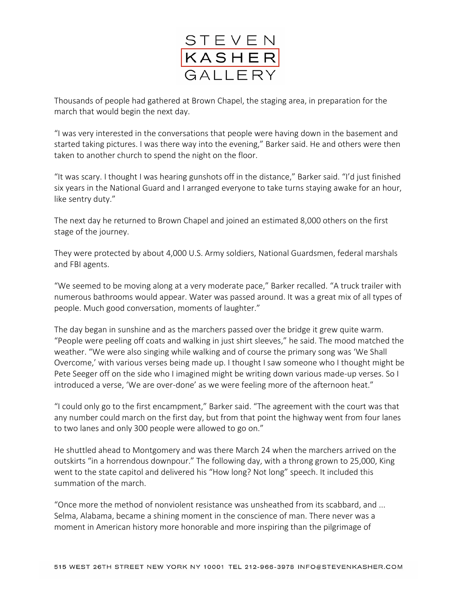

Thousands of people had gathered at Brown Chapel, the staging area, in preparation for the march that would begin the next day.

"I was very interested in the conversations that people were having down in the basement and started taking pictures. I was there way into the evening," Barker said. He and others were then taken to another church to spend the night on the floor.

"It was scary. I thought I was hearing gunshots off in the distance," Barker said. "I'd just finished six years in the National Guard and I arranged everyone to take turns staying awake for an hour, like sentry duty."

The next day he returned to Brown Chapel and joined an estimated 8,000 others on the first stage of the journey.

They were protected by about 4,000 U.S. Army soldiers, National Guardsmen, federal marshals and FBI agents.

"We seemed to be moving along at a very moderate pace," Barker recalled. "A truck trailer with numerous bathrooms would appear. Water was passed around. It was a great mix of all types of people. Much good conversation, moments of laughter."

The day began in sunshine and as the marchers passed over the bridge it grew quite warm. "People were peeling off coats and walking in just shirt sleeves," he said. The mood matched the weather. "We were also singing while walking and of course the primary song was 'We Shall Overcome,' with various verses being made up. I thought I saw someone who I thought might be Pete Seeger off on the side who I imagined might be writing down various made-up verses. So I introduced a verse, 'We are over-done' as we were feeling more of the afternoon heat."

"I could only go to the first encampment," Barker said. "The agreement with the court was that any number could march on the first day, but from that point the highway went from four lanes to two lanes and only 300 people were allowed to go on."

He shuttled ahead to Montgomery and was there March 24 when the marchers arrived on the outskirts "in a horrendous downpour." The following day, with a throng grown to 25,000, King went to the state capitol and delivered his "How long? Not long" speech. It included this summation of the march.

"Once more the method of nonviolent resistance was unsheathed from its scabbard, and ... Selma, Alabama, became a shining moment in the conscience of man. There never was a moment in American history more honorable and more inspiring than the pilgrimage of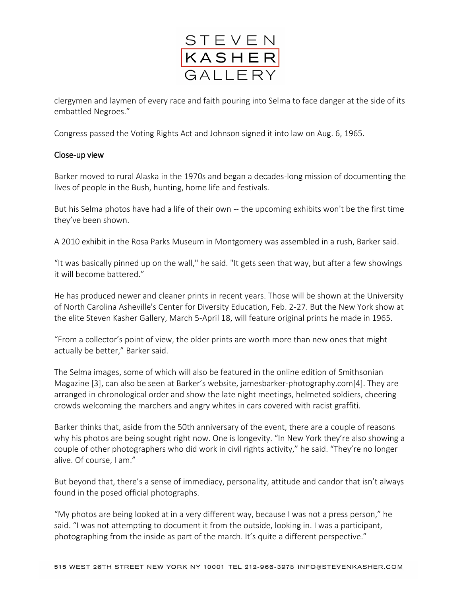

clergymen and laymen of every race and faith pouring into Selma to face danger at the side of its embattled Negroes."

Congress passed the Voting Rights Act and Johnson signed it into law on Aug. 6, 1965.

## Close-up view

Barker moved to rural Alaska in the 1970s and began a decades-long mission of documenting the lives of people in the Bush, hunting, home life and festivals.

But his Selma photos have had a life of their own -- the upcoming exhibits won't be the first time they've been shown.

A 2010 exhibit in the Rosa Parks Museum in Montgomery was assembled in a rush, Barker said.

"It was basically pinned up on the wall," he said. "It gets seen that way, but after a few showings it will become battered."

He has produced newer and cleaner prints in recent years. Those will be shown at the University of North Carolina Asheville's Center for Diversity Education, Feb. 2-27. But the New York show at the elite Steven Kasher Gallery, March 5-April 18, will feature original prints he made in 1965.

"From a collector's point of view, the older prints are worth more than new ones that might actually be better," Barker said.

The Selma images, some of which will also be featured in the online edition of [Smithsonian](http://www.smithsonianmag.com/history/rare-photos-selma-march-thick-history-180953874/)  [Magazine](http://www.smithsonianmag.com/history/rare-photos-selma-march-thick-history-180953874/) [3], can also be seen at Barker's website, [jamesbarker-photography.com\[](http://jamesbarker-photography.com/)4]. They are arranged in chronological order and show the late night meetings, helmeted soldiers, cheering crowds welcoming the marchers and angry whites in cars covered with racist graffiti.

Barker thinks that, aside from the 50th anniversary of the event, there are a couple of reasons why his photos are being sought right now. One is longevity. "In New York they're also showing a couple of other photographers who did work in civil rights activity," he said. "They're no longer alive. Of course, I am."

But beyond that, there's a sense of immediacy, personality, attitude and candor that isn't always found in the posed official photographs.

"My photos are being looked at in a very different way, because I was not a press person," he said. "I was not attempting to document it from the outside, looking in. I was a participant, photographing from the inside as part of the march. It's quite a different perspective."